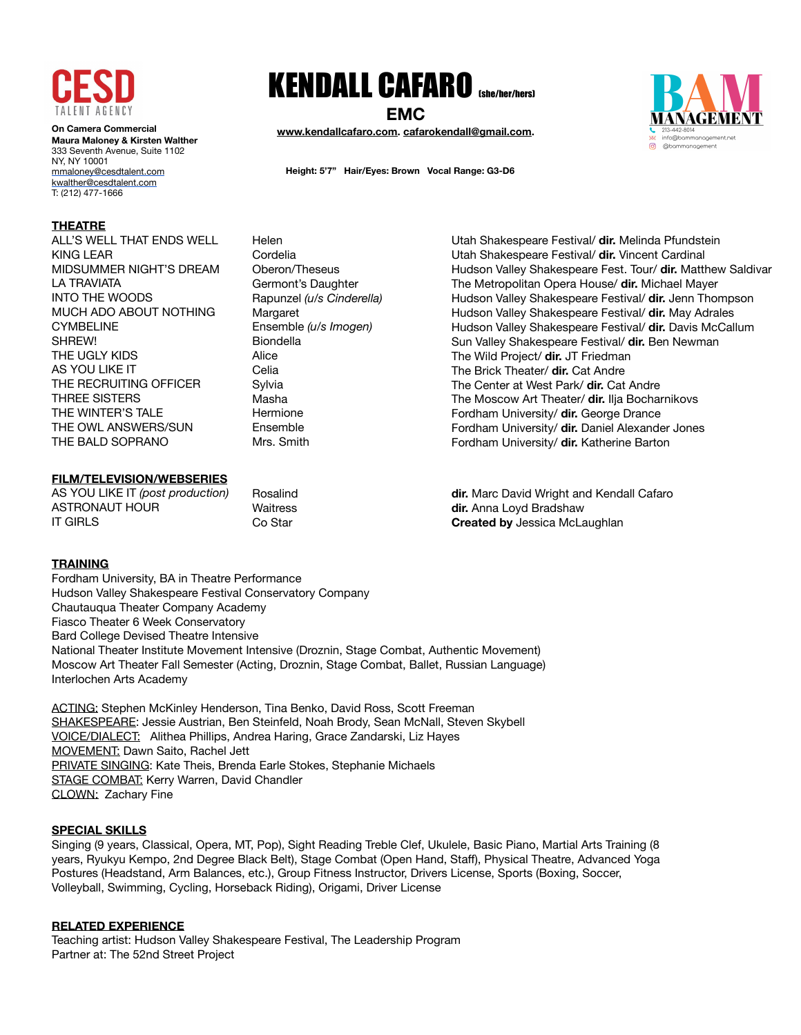

**On Camera Commercial Maura Maloney & Kirsten Walther**  333 Seventh Avenue, Suite 1102 NY, NY 10001 [mmaloney@cesdtalent.com](mailto:mmaloney@cesdtalent.com) [kwalther@cesdtalent.com](mailto:kwalther@cesdtalent.com) T: (212) 477-1666

## **THEATRE**

ALL'S WELL THAT ENDS WELL KING LEAR MIDSUMMER NIGHT'S DREAM LA TRAVIATA INTO THE WOODS MUCH ADO ABOUT NOTHING CYMBELINE SHREW! THE UGLY KIDS AS YOU LIKE IT THE RECRUITING OFFICER THREE SISTERS THE WINTER'S TALE THE OWL ANSWERS/SUN THE BALD SOPRANO

## **FILM/TELEVISION/WEBSERIES**

AS YOU LIKE IT *(post production)* ASTRONAUT HOUR IT GIRLS Rosalind

# KENDALL CAFARO (she/her/hers)

**EMC**

**[www.kendallcafaro.com.](http://www.kendallcafaro.com) [cafarokendall@gmail.com](mailto:cafarokendall@gmail.com).** 

**Height: 5'7" Hair/Eyes: Brown Vocal Range: G3-D6**

Cordelia Oberon/Theseus Germont's Daughter Rapunzel *(u/s Cinderella)* Margaret Ensemble *(u/s Imogen)*  Biondella Alice Celia Sylvia Masha Hermione Ensemble Mrs. Smith

Helen

Utah Shakespeare Festival/ **dir.** Melinda Pfundstein Utah Shakespeare Festival/ **dir.** Vincent Cardinal Hudson Valley Shakespeare Fest. Tour/ **dir.** Matthew Saldivar The Metropolitan Opera House/ **dir.** Michael Mayer Hudson Valley Shakespeare Festival/ **dir.** Jenn Thompson Hudson Valley Shakespeare Festival/ **dir.** May Adrales Hudson Valley Shakespeare Festival/ **dir.** Davis McCallum Sun Valley Shakespeare Festival/ **dir.** Ben Newman The Wild Project/ **dir.** JT Friedman The Brick Theater/ **dir.** Cat Andre The Center at West Park/ **dir.** Cat Andre The Moscow Art Theater/ **dir.** Ilja Bocharnikovs Fordham University/ **dir.** George Drance Fordham University/ **dir.** Daniel Alexander Jones Fordham University/ **dir.** Katherine Barton

**Waitress** Co Star

**dir.** Marc David Wright and Kendall Cafaro **dir.** Anna Loyd Bradshaw **Created by** Jessica McLaughlan

## **TRAINING**

Fordham University, BA in Theatre Performance Hudson Valley Shakespeare Festival Conservatory Company Chautauqua Theater Company Academy Fiasco Theater 6 Week Conservatory Bard College Devised Theatre Intensive National Theater Institute Movement Intensive (Droznin, Stage Combat, Authentic Movement) Moscow Art Theater Fall Semester (Acting, Droznin, Stage Combat, Ballet, Russian Language) Interlochen Arts Academy

**ACTING: Stephen McKinley Henderson, Tina Benko, David Ross, Scott Freeman** SHAKESPEARE: Jessie Austrian, Ben Steinfeld, Noah Brody, Sean McNall, Steven Skybell VOICE/DIALECT: Alithea Phillips, Andrea Haring, Grace Zandarski, Liz Hayes MOVEMENT: Dawn Saito, Rachel Jett PRIVATE SINGING: Kate Theis, Brenda Earle Stokes, Stephanie Michaels STAGE COMBAT: Kerry Warren, David Chandler CLOWN: Zachary Fine

### **SPECIAL SKILLS**

Singing (9 years, Classical, Opera, MT, Pop), Sight Reading Treble Clef, Ukulele, Basic Piano, Martial Arts Training (8 years, Ryukyu Kempo, 2nd Degree Black Belt), Stage Combat (Open Hand, Staff), Physical Theatre, Advanced Yoga Postures (Headstand, Arm Balances, etc.), Group Fitness Instructor, Drivers License, Sports (Boxing, Soccer, Volleyball, Swimming, Cycling, Horseback Riding), Origami, Driver License

### **RELATED EXPERIENCE**

Teaching artist: Hudson Valley Shakespeare Festival, The Leadership Program Partner at: The 52nd Street Project